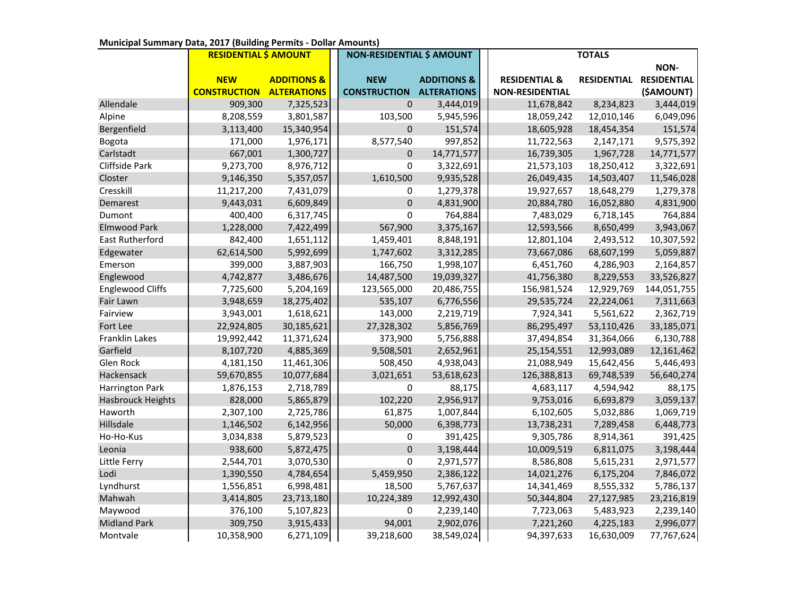|                          | <b>RESIDENTIAL \$ AMOUNT</b> |                        | <b>NON-RESIDENTIAL \$ AMOUNT</b> |                        | <b>TOTALS</b>            |                    |                    |
|--------------------------|------------------------------|------------------------|----------------------------------|------------------------|--------------------------|--------------------|--------------------|
|                          |                              |                        |                                  |                        |                          |                    | NON-               |
|                          | <b>NEW</b>                   | <b>ADDITIONS &amp;</b> | <b>NEW</b>                       | <b>ADDITIONS &amp;</b> | <b>RESIDENTIAL &amp;</b> | <b>RESIDENTIAL</b> | <b>RESIDENTIAL</b> |
|                          | <b>CONSTRUCTION</b>          | <b>ALTERATIONS</b>     | <b>CONSTRUCTION</b>              | <b>ALTERATIONS</b>     | <b>NON-RESIDENTIAL</b>   |                    | (\$AMOUNT)         |
| Allendale                | 909,300                      | 7,325,523              | $\pmb{0}$                        | 3,444,019              | 11,678,842               | 8,234,823          | 3,444,019          |
| Alpine                   | 8,208,559                    | 3,801,587              | 103,500                          | 5,945,596              | 18,059,242               | 12,010,146         | 6,049,096          |
| Bergenfield              | 3,113,400                    | 15,340,954             | 0                                | 151,574                | 18,605,928               | 18,454,354         | 151,574            |
| Bogota                   | 171,000                      | 1,976,171              | 8,577,540                        | 997,852                | 11,722,563               | 2,147,171          | 9,575,392          |
| Carlstadt                | 667,001                      | 1,300,727              | 0                                | 14,771,577             | 16,739,305               | 1,967,728          | 14,771,577         |
| Cliffside Park           | 9,273,700                    | 8,976,712              | 0                                | 3,322,691              | 21,573,103               | 18,250,412         | 3,322,691          |
| Closter                  | 9,146,350                    | 5,357,057              | 1,610,500                        | 9,935,528              | 26,049,435               | 14,503,407         | 11,546,028         |
| Cresskill                | 11,217,200                   | 7,431,079              | 0                                | 1,279,378              | 19,927,657               | 18,648,279         | 1,279,378          |
| Demarest                 | 9,443,031                    | 6,609,849              | $\mathbf 0$                      | 4,831,900              | 20,884,780               | 16,052,880         | 4,831,900          |
| Dumont                   | 400,400                      | 6,317,745              | 0                                | 764,884                | 7,483,029                | 6,718,145          | 764,884            |
| <b>Elmwood Park</b>      | 1,228,000                    | 7,422,499              | 567,900                          | 3,375,167              | 12,593,566               | 8,650,499          | 3,943,067          |
| <b>East Rutherford</b>   | 842,400                      | 1,651,112              | 1,459,401                        | 8,848,191              | 12,801,104               | 2,493,512          | 10,307,592         |
| Edgewater                | 62,614,500                   | 5,992,699              | 1,747,602                        | 3,312,285              | 73,667,086               | 68,607,199         | 5,059,887          |
| Emerson                  | 399,000                      | 3,887,903              | 166,750                          | 1,998,107              | 6,451,760                | 4,286,903          | 2,164,857          |
| Englewood                | 4,742,877                    | 3,486,676              | 14,487,500                       | 19,039,327             | 41,756,380               | 8,229,553          | 33,526,827         |
| <b>Englewood Cliffs</b>  | 7,725,600                    | 5,204,169              | 123,565,000                      | 20,486,755             | 156,981,524              | 12,929,769         | 144,051,755        |
| Fair Lawn                | 3,948,659                    | 18,275,402             | 535,107                          | 6,776,556              | 29,535,724               | 22,224,061         | 7,311,663          |
| Fairview                 | 3,943,001                    | 1,618,621              | 143,000                          | 2,219,719              | 7,924,341                | 5,561,622          | 2,362,719          |
| Fort Lee                 | 22,924,805                   | 30,185,621             | 27,328,302                       | 5,856,769              | 86,295,497               | 53,110,426         | 33,185,071         |
| Franklin Lakes           | 19,992,442                   | 11,371,624             | 373,900                          | 5,756,888              | 37,494,854               | 31,364,066         | 6,130,788          |
| Garfield                 | 8,107,720                    | 4,885,369              | 9,508,501                        | 2,652,961              | 25,154,551               | 12,993,089         | 12,161,462         |
| Glen Rock                | 4,181,150                    | 11,461,306             | 508,450                          | 4,938,043              | 21,088,949               | 15,642,456         | 5,446,493          |
| Hackensack               | 59,670,855                   | 10,077,684             | 3,021,651                        | 53,618,623             | 126,388,813              | 69,748,539         | 56,640,274         |
| Harrington Park          | 1,876,153                    | 2,718,789              | 0                                | 88,175                 | 4,683,117                | 4,594,942          | 88,175             |
| <b>Hasbrouck Heights</b> | 828,000                      | 5,865,879              | 102,220                          | 2,956,917              | 9,753,016                | 6,693,879          | 3,059,137          |
| Haworth                  | 2,307,100                    | 2,725,786              | 61,875                           | 1,007,844              | 6,102,605                | 5,032,886          | 1,069,719          |
| Hillsdale                | 1,146,502                    | 6,142,956              | 50,000                           | 6,398,773              | 13,738,231               | 7,289,458          | 6,448,773          |
| Ho-Ho-Kus                | 3,034,838                    | 5,879,523              | 0                                | 391,425                | 9,305,786                | 8,914,361          | 391,425            |
| Leonia                   | 938,600                      | 5,872,475              | $\pmb{0}$                        | 3,198,444              | 10,009,519               | 6,811,075          | 3,198,444          |
| Little Ferry             | 2,544,701                    | 3,070,530              | $\mathsf 0$                      | 2,971,577              | 8,586,808                | 5,615,231          | 2,971,577          |
| Lodi                     | 1,390,550                    | 4,784,654              | 5,459,950                        | 2,386,122              | 14,021,276               | 6,175,204          | 7,846,072          |
| Lyndhurst                | 1,556,851                    | 6,998,481              | 18,500                           | 5,767,637              | 14,341,469               | 8,555,332          | 5,786,137          |
| Mahwah                   | 3,414,805                    | 23,713,180             | 10,224,389                       | 12,992,430             | 50,344,804               | 27,127,985         | 23,216,819         |
| Maywood                  | 376,100                      | 5,107,823              | 0                                | 2,239,140              | 7,723,063                | 5,483,923          | 2,239,140          |
| <b>Midland Park</b>      | 309,750                      | 3,915,433              | 94,001                           | 2,902,076              | 7,221,260                | 4,225,183          | 2,996,077          |
| Montvale                 | 10,358,900                   | 6,271,109              | 39,218,600                       | 38,549,024             | 94,397,633               | 16,630,009         | 77,767,624         |

## **Municipal Summary Data, 2017 (Building Permits - Dollar Amounts)**